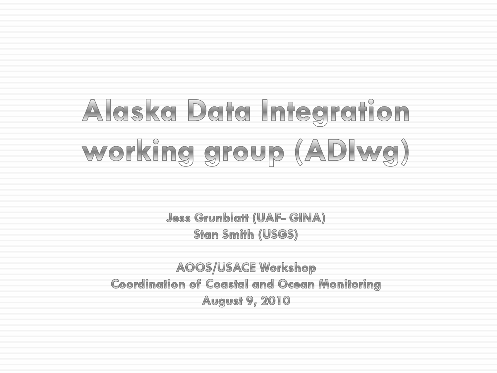# Alaska Data Integration working group (ADIwg)

**Jess Grunblatt (UAF- GINA) Stan Smith (USGS)** 

**AOOS/USACE Workshop Coordination of Coastal and Ocean Monitoring August 9, 2010**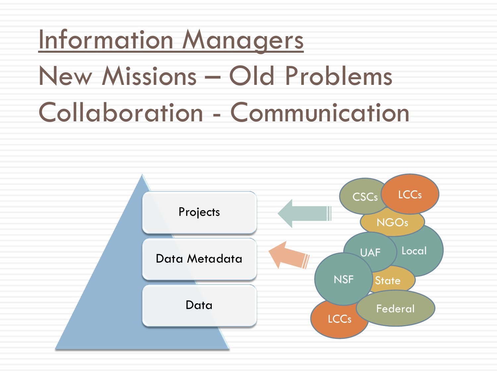## Information Managers New Missions – Old Problems Collaboration - Communication

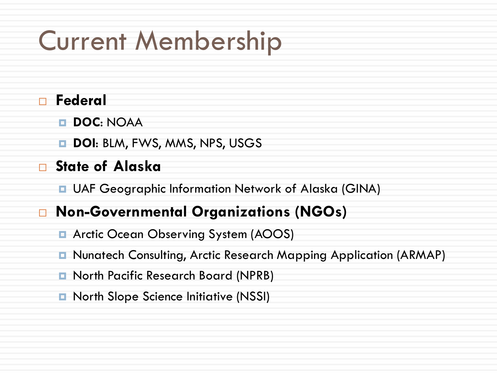### Current Membership

#### **Federal**

**DOC**: NOAA

**DOI: BLM, FWS, MMS, NPS, USGS** 

**State of Alaska**

**u** UAF Geographic Information Network of Alaska (GINA)

#### **Non-Governmental Organizations (NGOs)**

- **E** Arctic Ocean Observing System (AOOS)
- Nunatech Consulting, Arctic Research Mapping Application (ARMAP)
- **E** North Pacific Research Board (NPRB)
- **n** North Slope Science Initiative (NSSI)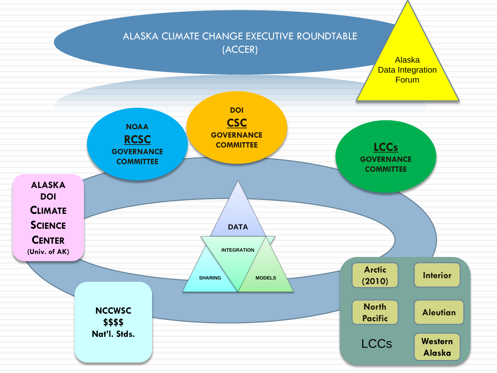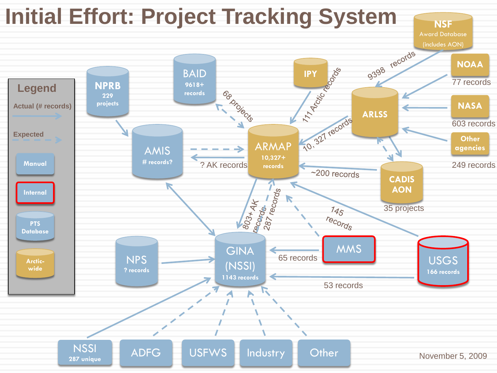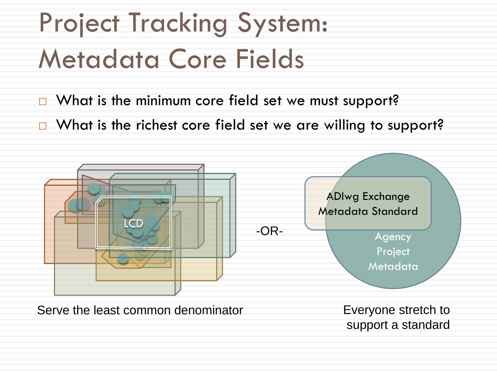## Project Tracking System: Metadata Core Fields

- $\Box$  What is the minimum core field set we must support?
- $\Box$  What is the richest core field set we are willing to support?



Serve the least common denominator

Everyone stretch to support a standard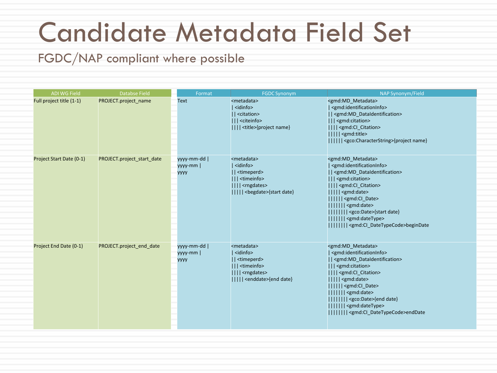### Candidate Metadata Field Set

FGDC/NAP compliant where possible

| <b>ADI WG Field</b>      | <b>Databse Field</b>       | Format                                 | <b>FGDC Synonym</b>                                                                                                                                                               | NAP Synonym/Field                                                                                                                                                                                                                                                                                                                                                                                                                                                                                                            |
|--------------------------|----------------------------|----------------------------------------|-----------------------------------------------------------------------------------------------------------------------------------------------------------------------------------|------------------------------------------------------------------------------------------------------------------------------------------------------------------------------------------------------------------------------------------------------------------------------------------------------------------------------------------------------------------------------------------------------------------------------------------------------------------------------------------------------------------------------|
| Full project title (1-1) | PROJECT.project_name       | Text                                   | <metadata><br/><math> </math> <idinfo><br/>   <citation><br/>      <citeinfo><br/>     <title>{project name}</title></citeinfo></citation></idinfo></metadata>                    | <gmd:md_metadata><br/>  <gmd:identificationinfo><br/>   <gmd:md_dataidentification><br/>    <gmd:citation><br/>     <gmd:cl_citation><br/>      <gmd:title><br/>       <gco:characterstring>{project name}</gco:characterstring></gmd:title></gmd:cl_citation></gmd:citation></gmd:md_dataidentification></gmd:identificationinfo></gmd:md_metadata>                                                                                                                                                                         |
| Project Start Date (0-1) | PROJECT.project_start_date | yyyy-mm-dd  <br>yyyy-mm<br><b>YYYY</b> | <metadata><br/>  <idinfo><br/>   <timeperd><br/>    <timeinfo><br/>     <rngdates><br/>      <begdate>{start date}</begdate></rngdates></timeinfo></timeperd></idinfo></metadata> | <gmd:md_metadata><br/>  <gmd:identificationinfo><br/>   <gmd:md_dataidentification><br/>    <gmd:citation><br/>     <gmd:cl_citation><br/><math>      </math> <gmd:date><br/>            <gmd:cl_date><br/>        <gmd:date><br/>         <gco:date>{start date}<br/>        <gmd:datetype><br/>               &lt; gmd: CI_DateTypeCode&gt;beginDate</gmd:datetype></gco:date></gmd:date></gmd:cl_date></gmd:date></gmd:cl_citation></gmd:citation></gmd:md_dataidentification></gmd:identificationinfo></gmd:md_metadata> |
| Project End Date (0-1)   | PROJECT.project_end_date   | yyyy-mm-dd  <br>yyyy-mm<br><b>YYYY</b> | <metadata><br/>  <idinfo><br/>   <timeperd><br/>    <timeinfo><br/>     <rngdates><br/>      <enddate>{end date}</enddate></rngdates></timeinfo></timeperd></idinfo></metadata>   | <gmd:md_metadata><br/><gmd:identificationinfo><br/>   <gmd:md_dataidentification><br/>    <gmd:citation><br/>     <gmd:cl_citation><br/><math>      </math> <gmd:date><br/>            <gmd:cl date=""><br/>        <gmd:date><br/>        <gco:date>{end date}<br/>        <gmd:datetype><br/>        <gmd:cl_datetypecode>endDate</gmd:cl_datetypecode></gmd:datetype></gco:date></gmd:date></gmd:cl></gmd:date></gmd:cl_citation></gmd:citation></gmd:md_dataidentification></gmd:identificationinfo></gmd:md_metadata>   |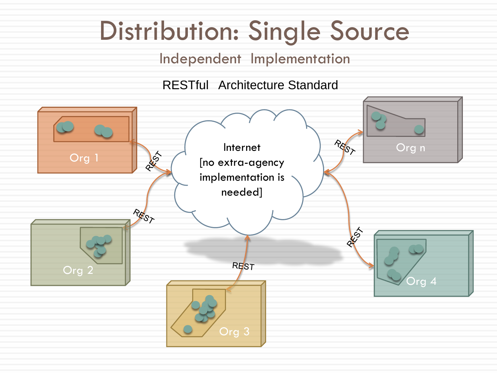### Distribution: Single Source

Independent Implementation

RESTful Architecture Standard

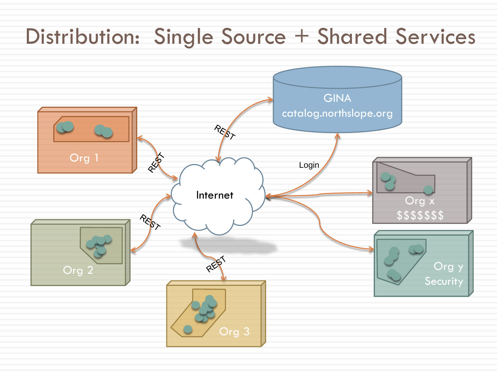#### Distribution: Single Source + Shared Services

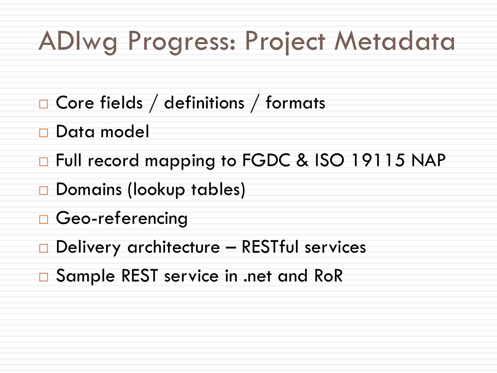#### ADIwg Progress: Project Metadata

- □ Core fields / definitions / formats
- Data model
- Full record mapping to FGDC & ISO 19115 NAP
- Domains (lookup tables)
- Geo-referencing
- $\Box$  Delivery architecture RESTful services
- □ Sample REST service in .net and RoR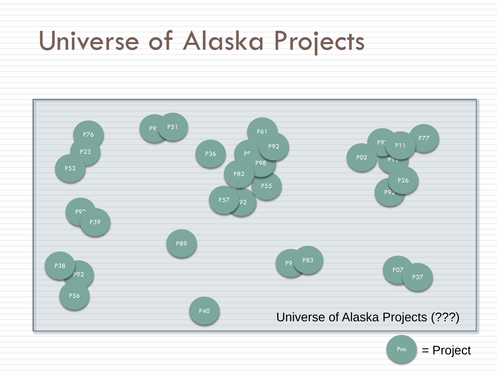#### Universe of Alaska Projects



 $Pnn$  = Project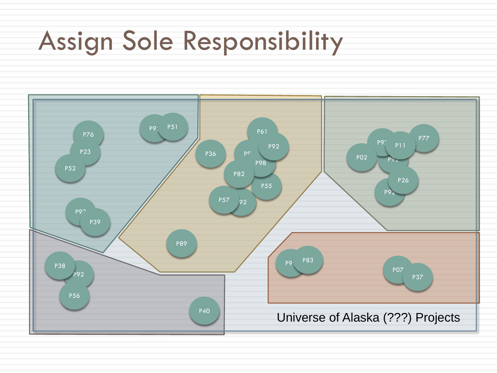### Assign Sole Responsibility